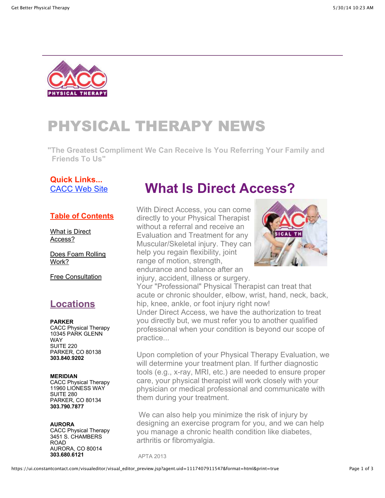

# PHYSICAL THERAPY NEWS

**"The Greatest Compliment We Can Receive Is You Referring Your Family and Friends To Us"**

#### **Quick Links...** CACC Web Site

#### **Table of Contents**

What is Direct Access?

Does Foam Rolling Work?

Free Consultation

### **Locations**

**PARKER** CACC Physical Therapy 10345 PARK GLENN WAY SUITE 220 PARKER, CO 80138 **303.840.9202**

#### **MERIDIAN** CACC Physical Therapy 11960 LIONESS WAY SUITE 280 PARKER, CO 80134 **303.790.7877**

**AURORA** CACC Physical Therapy 3451 S. CHAMBERS ROAD AURORA, CO 80014 **303.680.6121**

## **What Is Direct Access?**

With Direct Access, you can come directly to your Physical Therapist without a referral and receive an Evaluation and Treatment for any Muscular/Skeletal injury. They can help you regain flexibility, joint range of motion, strength, endurance and balance after an injury, accident, illness or surgery.



Your "Professional" Physical Therapist can treat that acute or chronic shoulder, elbow, wrist, hand, neck, back, hip, knee, ankle, or foot injury right now! Under Direct Access, we have the authorization to treat you directly but, we must refer you to another qualified professional when your condition is beyond our scope of practice...

Upon completion of your Physical Therapy Evaluation, we will determine your treatment plan. If further diagnostic tools (e.g., x-ray, MRI, etc.) are needed to ensure proper care, your physical therapist will work closely with your physician or medical professional and communicate with them during your treatment.

 We can also help you minimize the risk of injury by designing an exercise program for you, and we can help you manage a chronic health condition like diabetes, arthritis or fibromyalgia.

APTA 2013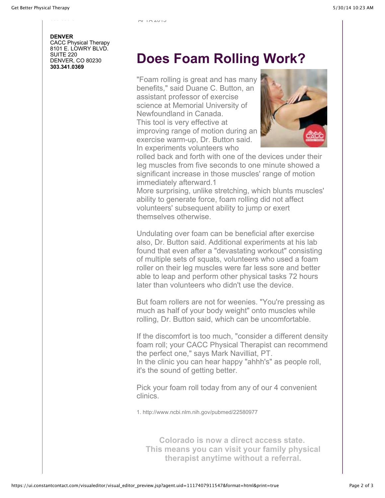#### **DENVER** CACC Physical Therapy 8101 E. LOWRY BLVD. SUITE 220 DENVER, CO 80230 **303.341.0369**

## **Does Foam Rolling Work?**

"Foam rolling is great and has many benefits," said Duane C. Button, an assistant professor of exercise science at Memorial University of Newfoundland in Canada. This tool is very effective at improving range of motion during an exercise warm-up, Dr. Button said. In experiments volunteers who



rolled back and forth with one of the devices under their leg muscles from five seconds to one minute showed a significant increase in those muscles' range of motion immediately afterward.1

More surprising, unlike stretching, which blunts muscles' ability to generate force, foam rolling did not affect volunteers' subsequent ability to jump or exert themselves otherwise.

Undulating over foam can be beneficial after exercise also, Dr. Button said. Additional experiments at his lab found that even after a "devastating workout" consisting of multiple sets of squats, volunteers who used a foam roller on their leg muscles were far less sore and better able to leap and perform other physical tasks 72 hours later than volunteers who didn't use the device.

But foam rollers are not for weenies. "You're pressing as much as half of your body weight" onto muscles while rolling, Dr. Button said, which can be uncomfortable.

If the discomfort is too much, "consider a different density foam roll; your CACC Physical Therapist can recommend the perfect one," says Mark Navilliat, PT. In the clinic you can hear happy "ahhh's" as people roll, it's the sound of getting better.

Pick your foam roll today from any of our 4 convenient clinics.

1. http://www.ncbi.nlm.nih.gov/pubmed/22580977

**Colorado is now a direct access state. This means you can visit your family physical therapist anytime without a referral.**